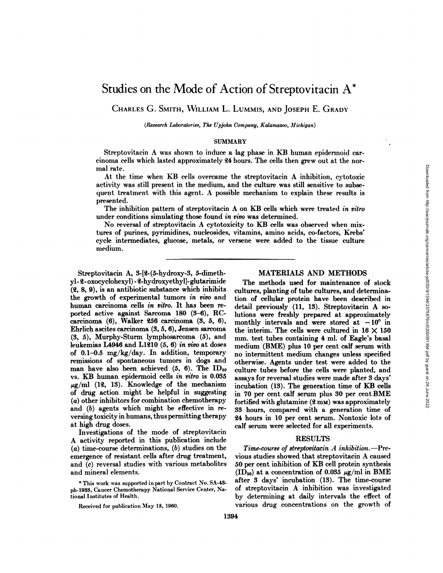# Studies on the Mode of Action of Streptovitacin A\*

CHARLES G. SMITH, WILLIAM L. LUMMIS, AND JOSEPH E. GRADY

*(Research Laboratories, The Upjohn Company, Kalamazoo, Michigan)*

### **SUMMARY**

Streptovitacin A was shown to induce a lag phase in KB human epidermoid car cinoma cells which lasted approximately 24 hours. The cells then grew out at the nor mal rate.

At the time when KB cells overcame the Streptovitacin A inhibition, cytotoxic activity was still present in the medium, and the culture was still sensitive to subse quent treatment with this agent. A possible mechanism toexplain these results is presented.

The inhibition pattern of streptovitacin A on KB cells which were treated in vitro under conditions simulating those found in vivo was determined.

No reversal of Streptovitacin A cytotoxicity to KB cells was observed when mix tures of purines, pyrimidines, nucleosides, vitamins, amino acids, co-factors, Krebs' cycle intermediates, glucose, metals, or versene were added to the tissue culture medium.

Streptovitacin A, 3-[2-(5-hydroxy-3, 5-dimethyl - 2- oxocyclohexy 1)- 2-hydroxyethyl]- glutarimide (2, 8, 9), is an antibiotic substance which inhibits the growth of experimental tumors in vivo and human carcinoma cells in vitro. It has been reported active against Sarcoma 180  $(3-6)$ , RCcarcinoma (6), Walker 256 carcinoma (3, 5, 6), monthly intervals and were stored at  $-10^{\circ}$  in Ehrlich ascites carcinoma (3, 5, 6), Jensen sarcoma  $(3, 5)$ , Murphy-Sturm lymphosarcoma  $(5)$ , and mm. test tubes containing 4 ml. of Eagle's basal leukemias L4946 and L1210 (5, 6) in vivo at doses of 0.1-0.5 mg/kg/day. In addition, temporary remissions of spontaneous tumors in dogs and man have also been achieved  $(5, 6)$ . The ID<sub>50</sub> vs. KB human epidermoid cells in vitro is 0.035  $\mu$ g/ml (12, 13). Knowledge of the mechanism of drug action might be helpful in suggesting (a) other inhibitors for combination chemotherapy and (b) agents which might be effective in reversing toxicity in humans, thus permitting therapy at high drug doses.

Investigations of the mode of streptovitacin A activity reported in this publication include  $(a)$  time-course determinations,  $(b)$  studies on the emergence of resistant cells after drug treatment, and (c) reversal studies with various metabolites and mineral elements.

\*This work was supported in part by Contract No. SA-43 ph-1933, Cancer Chemotherapy National Service Center, National Institutes of Health.

### MATERIALS AND METHODS

The methods used for maintenance of stock cultures, planting of tube cultures, and determina tion of cellular protein have been described in detail previously (11, 13). Streptovitacin A so lutions were freshly prepared at approximately the interim. The cells were cultured in  $16 \times 150$ medium (BME) plus 10 per cent calf serum with no intermittent medium changes unless specified otherwise. Agents under test were added to the culture tubes before the cells were planted, and assays for reversal studies were made after 3 days' incubation (13). The generation time of KB cells in 70 per cent calf serum plus 30 per cent BME fortified with glutamine  $(2 \text{ mm})$  was approximately 33 hours, compared with a generation time of 24 hours in 10 per cent serum. Nontoxic lots of calf serum were selected for all experiments.

### RESULTS

*Time-course of Streptovitacin A inhibition.—Pre* vious studies showed that Streptovitacin A caused 50 per cent inhibition of KB cell protein synthesis  $(ID<sub>50</sub>)$  at a concentration of 0.035  $\mu$ g/ml in BME after 3 days' incubation (13). The time-course of Streptovitacin A inhibition was investigated by determining at daily intervals the effect of various drug concentrations on the growth of

Received for publication May 13, 1960.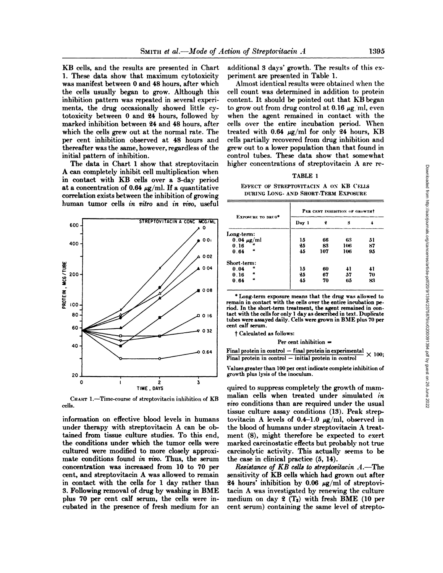KB cells, and the results are presented in Chart 1. These data show that maximum cytotoxicity was manifest between 0 and 48 hours, after which the cells usually began to grow. Although this inhibition pattern was repeated in several experi ments, the drug occasionally showed little cy totoxicity between 0 and 24 hours, followed by marked inhibition between 24 and 48 hours, after which the cells grew out at the normal rate. The per cent inhibition observed at 48 hours and thereafter was the same, however, regardless of the initial pattern of inhibition.

The data in Chart 1 show that streptovitacin A can completely inhibit cell multiplication when in contact with KB cells over a 3-day period at a concentration of 0.64  $\mu$ g/ml. If a quantitative correlation exists between the inhibition of growing human tumor cells in vitro and in vivo, useful



CHART 1.-Time-course of streptovitacin inhibition of KB cells.

information on effective blood levels in humans under therapy with streptovitacin A can be ob tained from tissue culture studies. To this end, the conditions under which the tumor cells were cultured were modified to more closely approxi mate conditions found in vivo. Thus, the serum concentration was increased from 10 to 70 per cent, and streptovitacin A was allowed to remain in contact with the cells for 1 day rather than 24 hours' inhibition by 0.06  $\mu$ g/ml of streptovi-3. Following removal of drug by washing in BME plus 70 per cent calf serum, the cells were in cubated in the presence of fresh medium for an

additional 3 days' growth. The results of this ex periment are presented in Table 1.

Almost identical results were obtained when the cell count was determined in addition to protein content. It should be pointed out that KB began to grow out from drug control at 0.16  $\mu$ g ml, even when the agent remained in contact with the cells over the entire incubation period. When treated with  $0.64 \mu g/ml$  for only 24 hours, KB cells partially recovered from drug inhibition and grew out to a lower population than that found in control tubes. These data show that somewhat higher concentrations of streptovitacin A are re-

### TABLE 1

### EFFECT OF STREPTOVITACIN A ON KB CELLS DURING LOXG- AXD SHORT-TERM EXPOSURE

| EXPOSURE TO DRUG*          | PER CENT INHIBITION OF GROWTHT |     |     |    |
|----------------------------|--------------------------------|-----|-----|----|
|                            | Day 1                          | 2   | 3   |    |
| Long-term:                 |                                |     |     |    |
| $0.04 \mu g/ml$            | 15                             | 66  | 63  | 51 |
| 0.16                       | 25                             | 83  | 106 | 87 |
| $\boldsymbol{\mu}$<br>0.64 | 45                             | 107 | 106 | 95 |
| Short-term:                |                                |     |     |    |
| и<br>0.04                  | 15                             | 60  | 41  | 41 |
| $\boldsymbol{\mu}$<br>0.16 | 25                             | 67  | 57  | 70 |
| $\boldsymbol{\mu}$<br>0.64 | 45                             | 70  | 65  | 83 |

\*Long-term exposure means that the drug was allowed to remain in contact with the cells over the entire incubation pe riod. In the short-term treatment, the agent remained in con tact with the cells for only 1 day as described in text. Duplicate tubes were assayed daily. Cells were grown in BME plus 70 per cent calf serum.

t Calculated as follows:

Per cent inhibition =

Final protein in control — final protein in experimental  $\times 100$ :  $Final$  protein in control  $-$  initial protein in control

Values greater than 100 per cent indicate complete inhibition of growth plus lysis of the inoculum.

quired to suppress completely the growth of mam malian cells when treated under simulated in *vivo conditions than are required under the usual* tissue culture assay conditions (13). Peak strep tovitacin A levels of 0.4-1.0  $\mu$ g/ml, observed in the blood of humans under streptovitacin A treat ment (8), might therefore be expected to exert marked carcinostatic effects but probably not true carcinolytic activity. This actually seems to be the case in clinical practice (5, 14).

*Resistance of KB ceils to streptovitacin A.—The* sensitivity of KB cells which had grown out after tacin A was investigated by renewing the culture medium on day 2  $(T_2)$  with fresh BME (10 per cent serum) containing the same level of strepto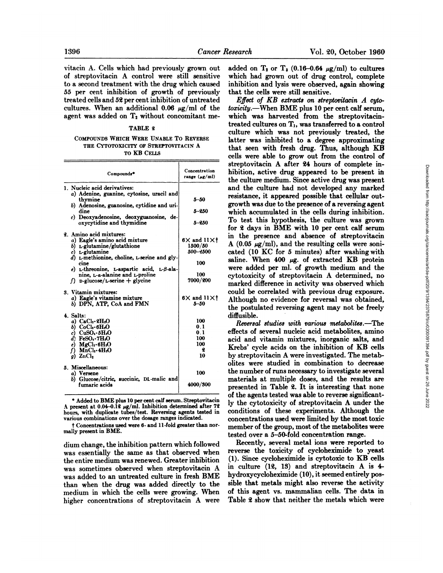vitacin A. Cells which had previously grown out of streptovitacin A control were still sensitive to a second treatment with the drug which caused 55 per cent inhibition of growth of previously treated cells and 52 per cent inhibition of untreated cultures. When an additional 0.06  $\mu$ g/ml of the agent was added on  $T<sub>2</sub>$  without concomitant me-

## TABLE 2

### COMPOUNDS WHICH WERE UNABLE TO REVERSE THE CYTOTOXICITY OF STREPTOVITACIN A TOKB CELLS

| Compounds*                                                                                                                                                                                                                                                                                                                  | Concentration<br>range (µg/ml)                                   |  |
|-----------------------------------------------------------------------------------------------------------------------------------------------------------------------------------------------------------------------------------------------------------------------------------------------------------------------------|------------------------------------------------------------------|--|
| 1. Nucleic acid derivatives:<br>a) Adenine, guanine, cytosine, uracil and<br>thymine<br>b) Adenosine, guanosine, cytidine and uri-<br>dine<br>c) Deoxyadenosine, deoxyguanosine, de-<br>oxycytidine and thymidine                                                                                                           | $5 - 50$<br>5-250<br>$5 - 250$                                   |  |
| 2. Amino acid mixtures:<br>a) Eagle's amino acid mixture<br>b) L-glutamine/glutathione<br>c) $L$ -glutamine<br>d) L-methionine, choline, L-serine and gly-<br>cine<br>$e$ ) <i>L</i> -threonine, <i>L</i> -aspartic acid, <i>L-8</i> -ala-<br>nine, L-a-alanine and L-proline<br>f) p-glucose/ <i>L</i> -serine $+$ glycine | $6X$ and $11Xt$<br>1500/50<br>500-2500<br>100<br>100<br>7000/200 |  |
| 3. Vitamin mixtures:<br>a) Eagle's vitamine mixture<br>b) DPN, ATP, CoA and FMN                                                                                                                                                                                                                                             | $6X$ and $11Xt$<br>5-50                                          |  |
| 4. Salts:<br>a) $CaCl2·2H2O$<br>b) $CoCl3·6H2O$<br>c) $CuSO_4 \tcdot \tdelta H_2O$<br>$d)$ FeSO. 7H <sub>2</sub> O<br>$e)$ MgCl <sub>1</sub> .6H <sub>1</sub> O<br>$f)$ MnCl <sub>1</sub> .4H <sub>1</sub> O<br>$g)$ ZnCl <sub>2</sub>                                                                                      | 100<br>0.1<br>0.1<br>100<br>100<br>2<br>10                       |  |
| 5. Miscellaneous:<br>a) Versene<br>b) Glucose/citric, succinic, DL-malic and<br>fumaric acids                                                                                                                                                                                                                               | 100<br>4000/300                                                  |  |

\* Added to BME plus 10 per cent calf serum. Streptovitacin A present at 0.04-0.12 µg/ml. Inhibition determined after 72 hours, with duplicate tubes/test. Reversing agents tested in various combinations over the dosage ranges indicated.

Concentrations used were 6- and 11-fold greater than normally present in BME.

dium change, the inhibition pattern which followed was essentially the same as that observed when the entire medium was renewed. Greater inhibition was sometimes observed when streptovitacin A was added to an untreated culture in fresh BME than when the drug was added directly to the medium in which the cells were growing. When higher concentrations of streptovitacin A were added on  $T_2$  or  $T_3$  (0.16-0.64  $\mu$ g/ml) to cultures which had grown out of drug control, complete inhibition and lysis were observed, again showing that the cells were still sensitive.

Concentration hibition, active drug appeared to be present in  $_{5-50}$  resistance, it appeared possible that cellular out-5-250 which accumulated in the cells during inhibition.  $6 \times$  and  $11 \times$ f A (0.05  $\mu$ g/ml), and the resulting cells were soni- $1500/50$   $\alpha$  (0.00  $\mu$ g/mi), and the resulting cens were some-<br> $500-2500$  cated (10 KC for 5 minutes) after washing with 7000/200 marked difference in activity was observed which  $6 \times$  and  $11 \times 1$  Although no evidence for reversal was obtained, *Effect of KB extracts on streptovitacin A cytotoxicity.—When BME plus 10 per cent calf serum,* which was harvested from the streptovitacintreated cultures on  $T_1$ , was transferred to a control culture which was not previously treated, the latter was inhibited to a degree approximating that seen with fresh drug. Thus, although KB cells were able to grow out from the control of streptovitacin A after 24 hours of complete in the culture medium. Since active drug was present and the culture had not developed any marked growth was due to the presence of a reversing agent To test this hypothesis, the culture was grown for 2 days in BME with 10 per cent calf serum in the presence and absence of streptovitacin saline. When  $400 \mu$ g. of extracted KB protein were added per ml. of growth medium and the cytotoxicity of streptovitacin A determined, no could be correlated with previous drug exposure. the postulated reversing agent may not be freely diffusible.

> *Reversal studies with various metabolites.—The* effects of several nucleic acid metabolites, amino acid and vitamin mixtures, inorganic salts, and Krebs' cycle acids on the inhibition of KB cells by streptovitacin A were investigated. The metab olites were studied in combination to decrease the number of runs necessary to investigate several materials at multiple doses, and the results are presented in Table 2. It is interesting that none of the agents tested was able to reverse significant ly the cytotoxicity of streptovitacin A under the conditions of these experiments. Although the concentrations used were limited by the most toxic member of the group, most of the metabolites were tested over a 5-50-fold concentration range.

> Recently, several metal ions were reported to reverse the toxicity of cycloheximide to yeast (1). Since cycloheximide is cytotoxic to KB cells in culture (12, 13) and streptovitacin A is 4 hydroxycycloheximide (10), it seemed entirely pos sible that metals might also reverse the activity of this agent vs. mammalian cells. The data in Table 2 show that neither the metals which were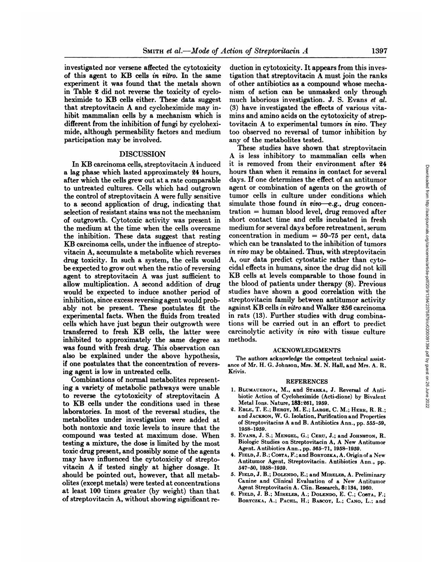investigated nor versene affected the cytotoxicity of this agent to KB cells in vitro. In the same experiment it was found that the metals shown in Table 2 did not reverse the toxicity of cycloheximide to KB cells either. These data suggest that streptovitacin A and cycloheximide may in hibit mammalian cells by a mechanism which is different from the inhibition of fungi by cyclohexi mide, although permeability factors and medium participation may be involved.

### DISCUSSION

In KB carcinoma cells, streptovitacin A induced a lag phase which lasted approximately 24 hours, after which the cells grew out at a rate comparable to untreated cultures. Cells which had outgrown the control of streptovitacin A were fully sensitive to a second application of drug, indicating that selection of resistant stains was not the mechanism of outgrowth. Cytotoxic activity was present in the medium at the time when the cells overcame the inhibition. These data suggest that resting KB carcinoma cells, under the influence of strepto vitacin A, accumulate a metabolite which reverses drug toxicity. In such a system, the cells would be expected to grow out when the ratio of reversing agent to streptovitacin A was just sufficient to allow multiplication. A second addition of drug would be expected to induce another period of inhibition, since excess reversing agent would prob ably not be present. These postulates fit the experimental facts. When the fluids from treated cells which have just begun their outgrowth were transferred to fresh KB cells, the latter were inhibited to approximately the same degree as was found with fresh drug. This observation can also be explained under the above hypothesis, if one postulates that the concentration of revers ing agent is low in untreated cells.

Combinations of normal metabolites represent ing a variety of metabolic pathways were unable to reverse the cytotoxicity of streptovitacin A to KB cells under the conditions used in these laboratories. In most of the reversal studies, the metabolites under investigation were added at both nontoxic and toxic levels to insure that the compound was tested at maximum dose. When testing a mixture, the dose is limited by the most toxic drug present, and possibly some of the agents may have influenced the cytotoxicity of strepto vitacin A if tested singly at higher dosage. It should be pointed out, however, that all metab olites (except metals) were tested at concentrations at least 100 times greater (by weight) than that of streptovitacin A,without showing significant re

duction in cytotoxicity. It appears from this inves tigation that streptovitacin A must join the ranks of other antibiotics as a compound whose mecha nism of action can be unmasked only through much laborious investigation. J. S. Evans et al. (3) have investigated the effects of various vita mins and amino acids on the cytotoxicity of strep tovitacin A to experimental tumors in vivo. They too observed no reversal of tumor inhibition by any of the metabolites tested.

These studies have shown that streptovitacin A is less inhibitory to mammalian cells when it is removed from their environment after 24 hours than when it remains in contact for several days. If one determines the effect of an antitumor agent or combination of agents on the growth of tumor cells in culture under conditions which simulate those found in  $vivo-e.g.,$  drug concentration = human blood level, drug removed after short contact time and cells incubated in fresh The interest of the method in the entries<br>interest the strength of the strength of the space and the space of the<br>strength or combination of a space term of the strength or combination of a<br>gradit or several days. If one concentration in medium  $= 50-75$  per cent, data which can be translated to the inhibition of tumors *in vivo may be obtained. Thus, with streptovitacin* A, our data predict cytostatic rather than cytocidal effects in humans, since the drug did not kill KB cells at levels comparable to those found in the blood of patients under therapy (8). Previous studies have shown a good correlation with the streptovitacin family between antitumor activity against KB cells in vitro and Walker 256 carcinoma in rats (13). Further studies with drug combina tions will be carried out in an effort to predict carcinolytic activity in vivo with tissue culture methods.

### ACKNOWLEDGMENTS

The authors acknowledge the competent technical assist ance of Mr. H. G. Johnson, Mrs. M. N. Hall, and Mrs. A. R. Krivis.

#### REFERENCES

- 1. BLUMAUEROVA, M., and STARKA, J. Reversal of Antibiotic Action of Cycloheximide (Acti-dione) by Bivalent Metal Ions. Nature, 183:261, 1959.
- 2. EBLE, T. E.; BERGY, M. E.; LARGE, C. M.; HERR, R. R.; and JACKSON, W. G. Isolation, Purification and Properties of Streptovitacins A and B. Antibiotics Ann., pp. 555-59, 1958-1959.
- 8. EVANS,J. S.; MENGEL,G.; CERU,J.; and JOHNSTON,R. Biologic Studies on Streptovitacin A, A New Antitumor Agent. Antibiotics Ann., pp. 565-71, 1958-1959.
- 4. FIELD,J.B.;CosTA,F.;and BORYOZKA, A. Origin of a New Antitumor Agent, Streptovitacin. Antibiotics Ann., pp. 547-50, 1958-1959.
- 5. FIELD, J. B.; DOLENDO, E.; and MIRELES, A. Preliminary Canine and Clinical Evaluation of a New Antitumor Agent Streptovitacin A. Clin. Research, 8:134, 1960.
- 6. FIELD, J. B.; MIRELES, A.; DOLENDO, E. C.; COSTA, F.; BORYCZKA, A.; PACHL, H.; BASCOY, L.; CANO, L.; and